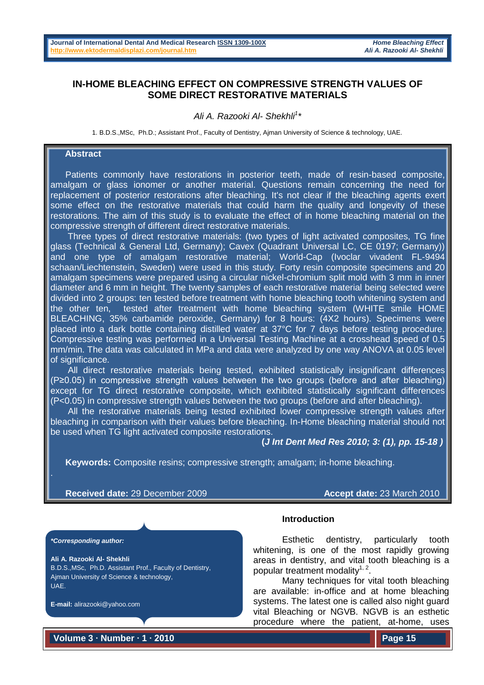# **IN-HOME BLEACHING EFFECT ON COMPRESSIVE STRENGTH VALUES OF SOME DIRECT RESTORATIVE MATERIALS**

# *Ali A. Razooki Al- Shekhli1 \**

1. B.D.S.,MSc, Ph.D.; Assistant Prof., Faculty of Dentistry, Ajman University of Science & technology, UAE.

# **Abstract**

 Patients commonly have restorations in posterior teeth, made of resin-based composite, amalgam or glass ionomer or another material. Questions remain concerning the need for replacement of posterior restorations after bleaching. It's not clear if the bleaching agents exert some effect on the restorative materials that could harm the quality and longevity of these restorations. The aim of this study is to evaluate the effect of in home bleaching material on the compressive strength of different direct restorative materials.

 Three types of direct restorative materials: (two types of light activated composites, TG fine glass (Technical & General Ltd, Germany); Cavex (Quadrant Universal LC, CE 0197; Germany)) and one type of amalgam restorative material; World-Cap (Ivoclar vivadent FL-9494 schaan/Liechtenstein, Sweden) were used in this study. Forty resin composite specimens and 20 amalgam specimens were prepared using a circular nickel-chromium split mold with 3 mm in inner diameter and 6 mm in height. The twenty samples of each restorative material being selected were divided into 2 groups: ten tested before treatment with home bleaching tooth whitening system and the other ten, tested after treatment with home bleaching system (WHITE smile HOME BLEACHING, 35% carbamide peroxide, Germany) for 8 hours: (4X2 hours). Specimens were placed into a dark bottle containing distilled water at 37°C for 7 days before testing procedure. Compressive testing was performed in a Universal Testing Machine at a crosshead speed of 0.5 mm/min. The data was calculated in MPa and data were analyzed by one way ANOVA at 0.05 level of significance.

 All direct restorative materials being tested, exhibited statistically insignificant differences (P≥0.05) in compressive strength values between the two groups (before and after bleaching) except for TG direct restorative composite, which exhibited statistically significant differences (P<0.05) in compressive strength values between the two groups (before and after bleaching).

 All the restorative materials being tested exhibited lower compressive strength values after bleaching in comparison with their values before bleaching. In-Home bleaching material should not be used when TG light activated composite restorations.

#### **(***J Int Dent Med Res 2010; 3: (1), pp. 15-18 )*

**Keywords:** Composite resins; compressive strength; amalgam; in-home bleaching.

### **Received date:** 29 December 2009 **Accept date:** 23 March 2010

*\*Corresponding author:*

**Ali A. Razooki Al- Shekhli**  B.D.S.,MSc, Ph.D. Assistant Prof., Faculty of Dentistry, Ajman University of Science & technology, UAE.

**E-mail:** alirazooki@yahoo.com

**Introduction**

Esthetic dentistry, particularly tooth whitening, is one of the most rapidly growing areas in dentistry, and vital tooth bleaching is a popular treatment modality<sup>1, 2</sup>.

Many techniques for vital tooth bleaching are available: in-office and at home bleaching systems. The latest one is called also night guard vital Bleaching or NGVB. NGVB is an esthetic procedure where the patient, at-home, uses

**Volume 3 ∙ Number ∙ 1 ∙ 2010**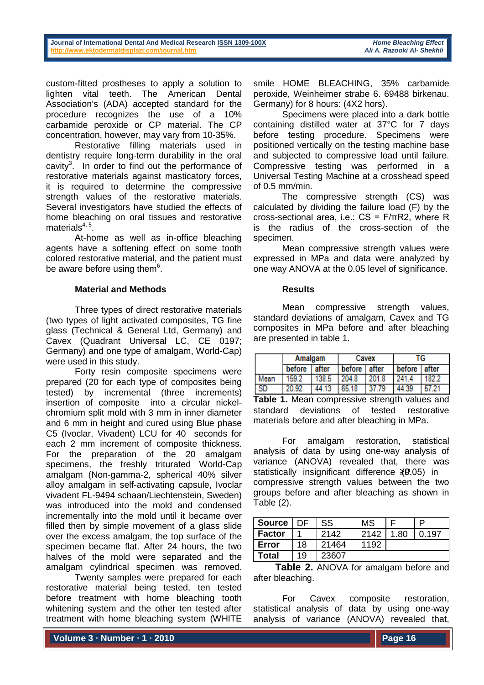**Journal of International Dental And Medical Research ISSN [1309-100X](http://www.ektodermaldisplazi.com/dergi.htm)** *Home Bleaching Effect* **http://www.ektodermaldisplazi.com/journal.htm** 

custom-fitted prostheses to apply a solution to lighten vital teeth. The American Dental Association's (ADA) accepted standard for the procedure recognizes the use of a 10% carbamide peroxide or CP material. The CP concentration, however, may vary from 10-35%.

Restorative filling materials used in dentistry require long-term durability in the oral cavity<sup>3</sup>. In order to find out the performance of restorative materials against masticatory forces, it is required to determine the compressive strength values of the restorative materials. Several investigators have studied the effects of home bleaching on oral tissues and restorative materials $4, 5$ .

At-home as well as in-office bleaching agents have a softening effect on some tooth colored restorative material, and the patient must be aware before using them $6$ .

# **Material and Methods**

Three types of direct restorative materials (two types of light activated composites, TG fine glass (Technical & General Ltd, Germany) and Cavex (Quadrant Universal LC, CE 0197; Germany) and one type of amalgam, World-Cap) were used in this study.

Forty resin composite specimens were prepared (20 for each type of composites being tested) by incremental (three increments) insertion of composite into a circular nickelchromium split mold with 3 mm in inner diameter and 6 mm in height and cured using Blue phase C5 (Ivoclar, Vivadent) LCU for 40 seconds for each 2 mm increment of composite thickness. For the preparation of the 20 amalgam specimens, the freshly triturated World-Cap amalgam (Non-gamma-2, spherical 40% silver alloy amalgam in self-activating capsule, Ivoclar vivadent FL-9494 schaan/Liechtenstein, Sweden) was introduced into the mold and condensed incrementally into the mold until it became over filled then by simple movement of a glass slide over the excess amalgam, the top surface of the specimen became flat. After 24 hours, the two halves of the mold were separated and the amalgam cylindrical specimen was removed.

Twenty samples were prepared for each restorative material being tested, ten tested before treatment with home bleaching tooth whitening system and the other ten tested after treatment with home bleaching system (WHITE

smile HOME BLEACHING, 35% carbamide peroxide, Weinheimer strabe 6. 69488 birkenau. Germany) for 8 hours: (4X2 hors).

Specimens were placed into a dark bottle containing distilled water at 37°C for 7 days before testing procedure. Specimens were positioned vertically on the testing machine base and subjected to compressive load until failure. Compressive testing was performed in a Universal Testing Machine at a crosshead speed of 0.5 mm/min.

The compressive strength (CS) was calculated by dividing the failure load (F) by the cross-sectional area, i.e.: CS = F/πR2, where R is the radius of the cross-section of the specimen.

Mean compressive strength values were expressed in MPa and data were analyzed by one way ANOVA at the 0.05 level of significance.

#### **Results**

Mean compressive strength values, standard deviations of amalgam, Cavex and TG composites in MPa before and after bleaching are presented in table 1.

|      | Amalgam |       | Cavex  |         | 1G     |       |
|------|---------|-------|--------|---------|--------|-------|
|      | before  | after | before | l after | before | after |
| Mean | 159.2   | 138.5 | 204.8  | 201.8   | 241.   | 182.2 |
| SD   | 20.92   | 44.13 | 65.18  | 37.79   | 44.39  |       |

**Table 1.** Mean compressive strength values and standard deviations of tested restorative materials before and after bleaching in MPa.

For amalgam restoration, statistical analysis of data by using one-way analysis of variance (ANOVA) revealed that, there was statistically insignificant difference (₹P.05) in compressive strength values between the two groups before and after bleaching as shown in Table (2).

| Source        | DE | SS    | MS   |      | D     |
|---------------|----|-------|------|------|-------|
| <b>Factor</b> |    | 2142  | 2142 | 1.80 | 0.197 |
| Error         | 18 | 21464 | 1192 |      |       |
| <b>Total</b>  | 19 | 23607 |      |      |       |

**Table 2.** ANOVA for amalgam before and after bleaching.

For Cavex composite restoration, statistical analysis of data by using one-way analysis of variance (ANOVA) revealed that,

**Volume 3 ∙ Number ∙ 1 ∙ 2010**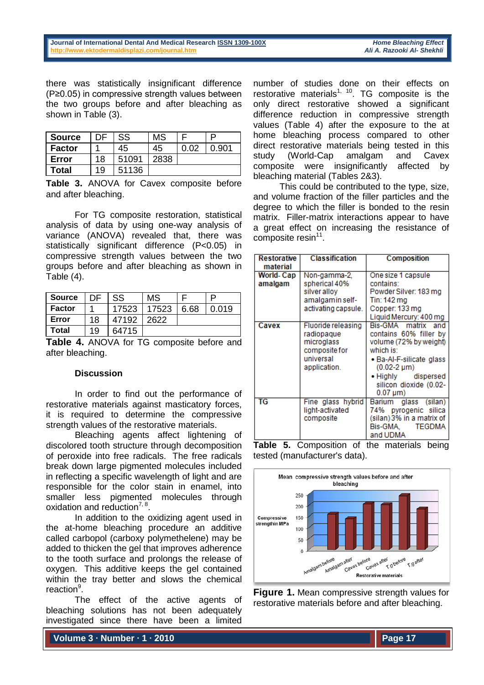there was statistically insignificant difference (P≥0.05) in compressive strength values between the two groups before and after bleaching as shown in Table (3).

| Source        | DE | <b>SS</b> | <b>MS</b> |      | D     |
|---------------|----|-----------|-----------|------|-------|
| <b>Factor</b> |    | 45        | 45        | በ በ2 | 0.901 |
| Error         | 18 | 51091     | 2838      |      |       |
| Total         | 19 | 51136     |           |      |       |

**Table 3.** ANOVA for Cavex composite before and after bleaching.

For TG composite restoration, statistical analysis of data by using one-way analysis of variance (ANOVA) revealed that, there was statistically significant difference (P<0.05) in compressive strength values between the two groups before and after bleaching as shown in Table (4).

| Source        | DE | SS    | MS    |      |       |
|---------------|----|-------|-------|------|-------|
| <b>Factor</b> |    | 17523 | 17523 | 6.68 | 0.019 |
| Error         | 18 | 47192 | 2622  |      |       |
| <b>Total</b>  | 19 | 64715 |       |      |       |

**Table 4.** ANOVA for TG composite before and after bleaching.

# **Discussion**

In order to find out the performance of restorative materials against masticatory forces, it is required to determine the compressive strength values of the restorative materials.

Bleaching agents affect lightening of discolored tooth structure through decomposition of peroxide into free radicals. The free radicals break down large pigmented molecules included in reflecting a specific wavelength of light and are responsible for the color stain in enamel, into smaller less pigmented molecules through oxidation and reduction<sup>7, 8</sup>.

In addition to the oxidizing agent used in the at-home bleaching procedure an additive called carbopol (carboxy polymethelene) may be added to thicken the gel that improves adherence to the tooth surface and prolongs the release of oxygen. This additive keeps the gel contained within the tray better and slows the chemical reaction<sup>9</sup>.

The effect of the active agents of bleaching solutions has not been adequately investigated since there have been a limited

number of studies done on their effects on restorative materials<sup>1, 10</sup>. TG composite is the only direct restorative showed a significant difference reduction in compressive strength values (Table 4) after the exposure to the at home bleaching process compared to other direct restorative materials being tested in this<br>study (World-Cap amalgam and Cavex study (World-Cap amalgam and Cavex composite were insignificantly affected by bleaching material (Tables 2&3).

This could be contributed to the type, size, and volume fraction of the filler particles and the degree to which the filler is bonded to the resin matrix. Filler-matrix interactions appear to have a great effect on increasing the resistance of composite resin $11$ .

| Restorative                                               | <b>Classification</b> | Composition               |  |  |
|-----------------------------------------------------------|-----------------------|---------------------------|--|--|
| material                                                  |                       |                           |  |  |
| World- Cap                                                | Non-gamma-2.          | One size 1 capsule        |  |  |
| amalgam                                                   | spherical 40%         | contains:                 |  |  |
|                                                           | silver alloy          | Powder Silver: 183 mg     |  |  |
|                                                           | amalgamin self-       | Tin: 142 ma               |  |  |
|                                                           | activating capsule.   | Copper: 133 mg            |  |  |
|                                                           |                       | Liquid Mercury: 400 mg    |  |  |
| Cavex                                                     | Fluoride releasing    | Bis-GMA matrix and        |  |  |
|                                                           | radiopaque            | contains 60% filler by    |  |  |
|                                                           | microglass            | volume (72% by weight)    |  |  |
|                                                           | composite for         | which is:                 |  |  |
|                                                           | universal             | • Ba-Al-F-silicate glass  |  |  |
|                                                           | application.          | $(0.02 - 2 \mu m)$        |  |  |
|                                                           |                       | • Highly dispersed        |  |  |
|                                                           |                       | silicon dioxide (0.02-    |  |  |
|                                                           |                       | $0.07 \,\mathrm{\mu m}$   |  |  |
| TG                                                        | Fine glass hybrid     | Barium glass (silan)      |  |  |
|                                                           | light-activated       | 74% pyrogenic silica      |  |  |
|                                                           | composite             | (silan) 3% in a matrix of |  |  |
|                                                           |                       | <b>TEGDMA</b><br>Bis-GMA. |  |  |
|                                                           |                       | and UDMA                  |  |  |
| 5<br>Tahle<br>Comnosition<br>the materials<br>heina<br>∩f |                       |                           |  |  |

**Table 5.** Composition of the materials being tested (manufacturer's data).



**Figure 1.** Mean compressive strength values for restorative materials before and after bleaching.

**Volume 3 ∙ Number ∙ 1 ∙ 2010**